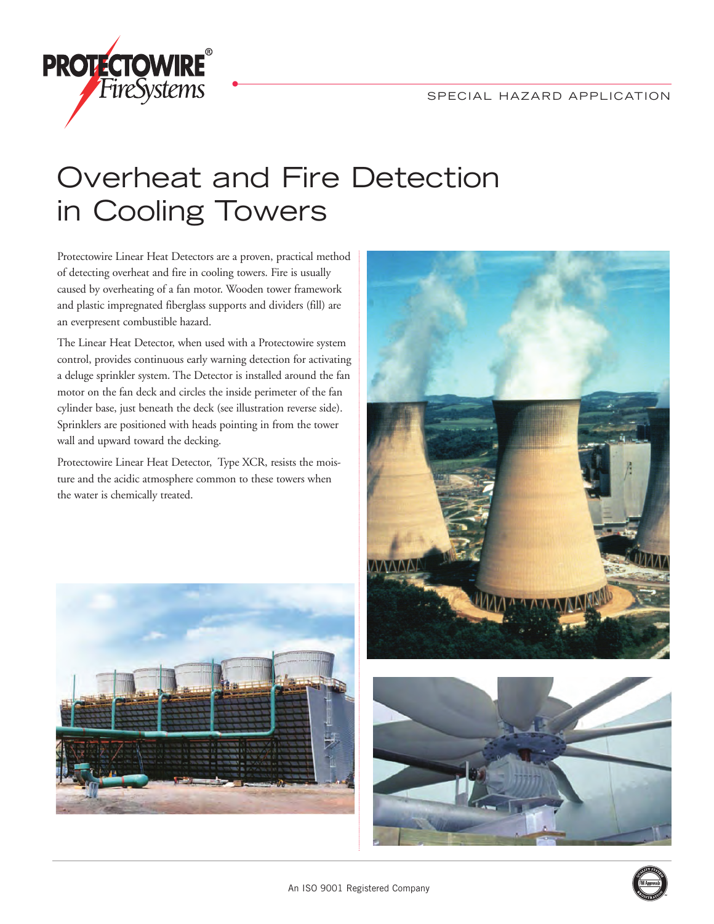

## Overheat and Fire Detection in Cooling Towers

Protectowire Linear Heat Detectors are a proven, practical method of detecting overheat and fire in cooling towers. Fire is usually caused by overheating of a fan motor. Wooden tower framework and plastic impregnated fiberglass supports and dividers (fill) are an everpresent combustible hazard.

The Linear Heat Detector, when used with a Protectowire system control, provides continuous early warning detection for activating a deluge sprinkler system. The Detector is installed around the fan motor on the fan deck and circles the inside perimeter of the fan cylinder base, just beneath the deck (see illustration reverse side). Sprinklers are positioned with heads pointing in from the tower wall and upward toward the decking.

Protectowire Linear Heat Detector, Type XCR, resists the moisture and the acidic atmosphere common to these towers when the water is chemically treated.